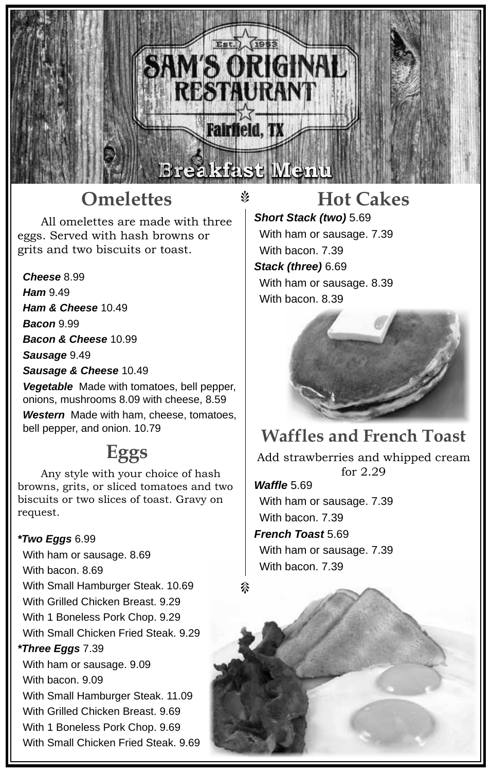## **Omelettes**

All omelettes are made with three eggs. Served with hash browns or grits and two biscuits or toast.

*Cheese* 8.99

*Ham* 9.49

*Ham & Cheese* 10.49

*Bacon* 9.99

*Bacon & Cheese* 10.99

*Sausage* 9.49

*Sausage & Cheese* 10.49

*Vegetable* Made with tomatoes, bell pepper, onions, mushrooms 8.09 with cheese, 8.59

*Western* Made with ham, cheese, tomatoes, bell pepper, and onion. 10.79

### **Eggs**

Any style with your choice of hash browns, grits, or sliced tomatoes and two biscuits or two slices of toast. Gravy on request.

#### *\*Two Eggs* 6.99

With ham or sausage. 8.69 With bacon. 8.69 With Small Hamburger Steak. 10.69 With Grilled Chicken Breast. 9.29 With 1 Boneless Pork Chop. 9.29 With Small Chicken Fried Steak. 9.29 *\*Three Eggs* 7.39 With ham or sausage. 9.09 With bacon. 9.09 With Small Hamburger Steak. 11.09 With Grilled Chicken Breast. 9.69 With 1 Boneless Pork Chop. 9.69 With Small Chicken Fried Steak. 9.69

#### **Hot Cakes**

*Short Stack (two)* 5.69 With ham or sausage. 7.39 With bacon. 7.39 *Stack (three)* 6.69 With ham or sausage. 8.39 With bacon. 8.39

**Breakfast Menu**

Est. 1953

SAM'S ORIGINAL

**RESTAURANT** 

 $\mathbb V$ 



#### **Waffles and French Toast**

Add strawberries and whipped cream for 2.29

*Waffle* 5.69 With ham or sausage. 7.39 With bacon. 7.39

*French Toast* 5.69

With ham or sausage. 7.39 With bacon. 7.39